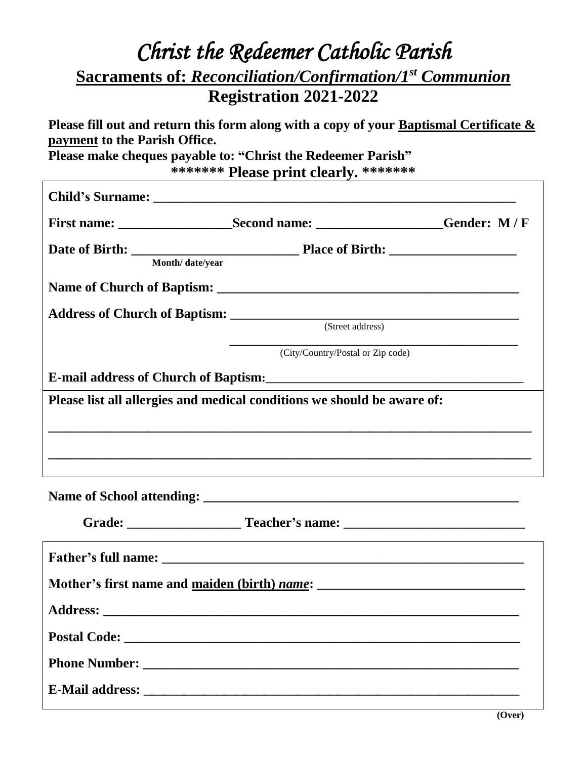## *Christ the Redeemer Catholic Parish* **Sacraments of:** *Reconciliation/Confirmation/1st Communion* **Registration 2021-2022**

**Please fill out and return this form along with a copy of your Baptismal Certificate & payment to the Parish Office.**

**Please make cheques payable to: "Christ the Redeemer Parish" \*\*\*\*\*\*\* Please print clearly. \*\*\*\*\*\*\***

| Month/ date/year |                                                                         |  |
|------------------|-------------------------------------------------------------------------|--|
|                  |                                                                         |  |
|                  |                                                                         |  |
|                  | (City/Country/Postal or Zip code)                                       |  |
|                  | E-mail address of Church of Baptism:                                    |  |
|                  | Please list all allergies and medical conditions we should be aware of: |  |
|                  |                                                                         |  |
|                  |                                                                         |  |
|                  |                                                                         |  |
|                  |                                                                         |  |